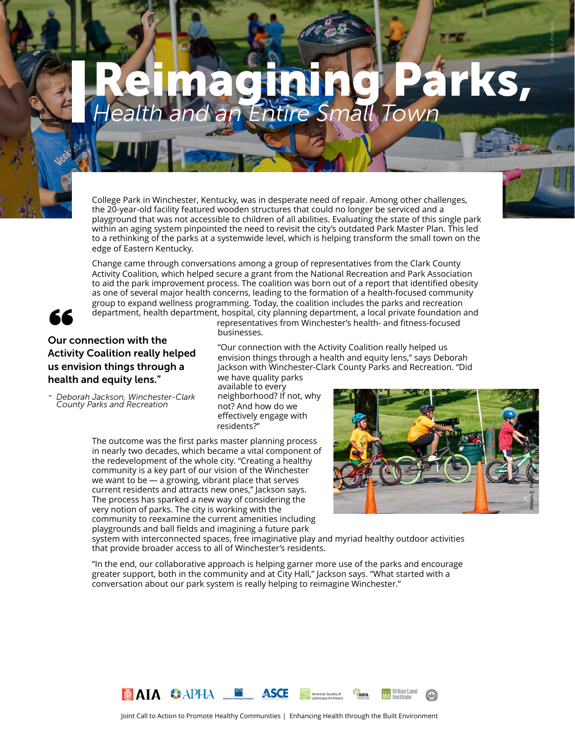# *Health and an Entire Small Town* Reimagining Parks,

College Park in Winchester, Kentucky, was in desperate need of repair. Among other challenges, the 20-year-old facility featured wooden structures that could no longer be serviced and a playground that was not accessible to children of all abilities. Evaluating the state of this single park within an aging system pinpointed the need to revisit the city's outdated Park Master Plan. This led to a rethinking of the parks at a systemwide level, which is helping transform the small town on the edge of Eastern Kentucky.

Change came through conversations among a group of representatives from the Clark County Activity Coalition, which helped secure a grant from the National Recreation and Park Association to aid the park improvement process. The coalition was born out of a report that identified obesity as one of several major health concerns, leading to the formation of a health-focused community group to expand wellness programming. Today, the coalition includes the parks and recreation department, health department, hospital, city planning department, a local private foundation and



#### Our connection with the Activity Coalition really helped us envision things through a health and equity lens."

*- Deborah Jackson, Winchester-Clark County Parks and Recreation*

representatives from Winchester's health- and fitness-focused businesses.

"Our connection with the Activity Coalition really helped us envision things through a health and equity lens," says Deborah Jackson with Winchester-Clark County Parks and Recreation. "Did we have quality parks

available to every neighborhood? If not, why not? And how do we effectively engage with residents?"

The outcome was the first parks master planning process in nearly two decades, which became a vital component of the redevelopment of the whole city. "Creating a healthy community is a key part of our vision of the Winchester we want to be — a growing, vibrant place that serves current residents and attracts new ones," Jackson says. The process has sparked a new way of considering the very notion of parks. The city is working with the community to reexamine the current amenities including playgrounds and ball fields and imagining a future park



*William E. Flinchum*

system with interconnected spaces, free imaginative play and myriad healthy outdoor activities that provide broader access to all of Winchester's residents.

"In the end, our collaborative approach is helping garner more use of the parks and encourage greater support, both in the community and at City Hall," Jackson says. "What started with a conversation about our park system is really helping to reimagine Winchester."